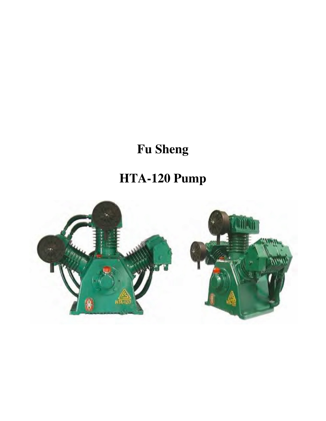## **Fu Sheng**

# **HTA-120 Pump**

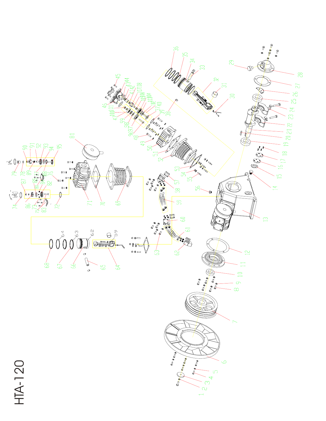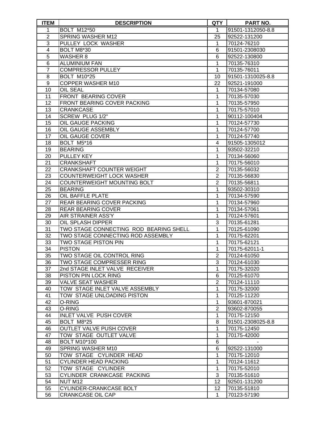| <b>ITEM</b>    | <b>DESCRIPTION</b>                     | <b>QTY</b>     | <b>PART NO.</b>   |
|----------------|----------------------------------------|----------------|-------------------|
| 1              | <b>BOLT M12*50</b>                     | 1              | 91501-1312050-8.8 |
| $\overline{2}$ | <b>SPRING WASHER M12</b>               | 25             | 92522-131200      |
| 3              | PULLEY LOCK WASHER                     | 1              | 70124-76210       |
| $\overline{4}$ | <b>BOLT M8*30</b>                      | 6              | 91501-2308030     |
| 5              | <b>WASHER 8</b>                        | 6              | 92522-130800      |
| 6              | <b>ALUMINIUM FAN</b>                   | $\mathbf{1}$   | 70135-76310       |
| $\overline{7}$ | <b>COMPRESSOR PULLEY</b>               | $\mathbf{1}$   | 70135-76011       |
| 8              | <b>BOLT M10*25</b>                     | 10             | 91501-1310025-8.8 |
| 9              | COPPER WASHER M10                      | 22             | 92521-191000      |
| 10             | OIL SEAL                               | 1              | 70134-57080       |
| 11             | FRONT BEARING COVER                    | 1              | 70135-57030       |
| 12             | FRONT BEARING COVER PACKING            | 1              | 70135-57950       |
| 13             | <b>CRANKCASE</b>                       | 1              | 70175-57010       |
| 14             | SCREW PLUG 1/2"                        | 1              | 90112-100404      |
| 15             | OIL GAUGE PACKING                      | 1              | 70124-57730       |
| 16             | OIL GAUGE ASSEMBLY                     | 1              | 70124-57700       |
| 17             | OIL GAUGE COVER                        | 1              | 70124-57740       |
| 18             | BOLT M5*16                             | 4              | 91505-1305012     |
| 19             | <b>BEARING</b>                         | 1              | 93502-32210       |
| 20             | PULLEY KEY                             | 1              | 70134-56060       |
| 21             | <b>CRANKSHAFT</b>                      | 1              | 70175-56010       |
| 22             | CRANKSHAFT COUNTER WEIGHT              | $\overline{2}$ | 70135-56032       |
| 23             | <b>COUNTERWEIGHT LOCK WASHER</b>       | $\overline{2}$ | 70135-56830       |
| 24             | COUNTERWEIGHT MOUNTING BOLT            | $\overline{2}$ | 70135-56811       |
| 25             | <b>BEARING</b>                         | 1              | 93502-30310       |
| 26             | OIL BAFFLE PLATE                       | 1              | 70134-57590       |
| 27             | REAR BEARING COVER PACKING             | 1              | 70134-57960       |
| 28             | <b>REAR BEARING COVER</b>              | 1              | 70134-57061       |
| 29             | <b>AIR STRAINER ASS'Y</b>              | $\mathbf{1}$   | 70124-57601       |
| 30             | OIL SPLASH DIPPER                      | 3              | 70135-61281       |
| 31             | TWO STAGE CONNECTING ROD BEARING SHELL | 1              | 70125-61090       |
| 32             | TWO STAGE CONNECTING ROD ASSEMBLY      | 1              | 70175-62201       |
| 33             | <b>TWO STAGE PISTON PIN</b>            | 1              | 70175-62121       |
| 34             | <b>PISTON</b>                          | 1              | 70175-62011-1     |
| 35             | TWO STAGE OIL CONTROL RING             | $\overline{2}$ | 70124-61050       |
| 36             | TWO STAGE COMPRESSER RING              | 3              | 70124-61030       |
| 37             | 2nd STAGE INLET VALVE RECEIVER         | 1              | 70175-32020       |
| 38             | PISTON PIN LOCK RING                   | 6              | 70125-61070       |
| 39             | <b>VALVE SEAT WASHER</b>               | $\overline{2}$ | 70124-11110       |
| 40             | TOW STAGE INLET VALVE ASSEMBLY         | 1              | 70175-32000       |
| 41             | TOW STAGE UNLOADING PISTON             | 1              | 70125-11220       |
| 42             | O-RING                                 | 1              | 93601-870021      |
| 43             | O-RING                                 | $\overline{2}$ | 93602-870055      |
| 44             | INLET VALVE PUSH COVER                 | 1              | 70175-12150       |
| 45             | BOLT M8*25                             | 8              | 91501-2308025-8.8 |
| 46             | <b>OUTLET VALVE PUSH COVER</b>         | 1              | 70175-12450       |
| 47             | TOW STAGE OUTLET VALVE                 | 1              | 70175-42000       |
| 48             | <b>BOLT M10*100</b>                    | $\,6$          |                   |
| 49             | SPRING WASHER M10                      | 6              | 92522-131000      |
| 50             | TOW STAGE CYLINDER HEAD                | 1              | 70175-12010       |
| 51             | <b>CYLINDER HEAD PACKING</b>           | 1              | 70124-11612       |
| 52             | TOW STAGE CYLINDER                     | 1              | 70175-52010       |
| 53             | CYLINDER CRANKCASE PACKING             | 3              | 70135-51610       |
| 54             | NUT M12                                | 12             | 92501-131200      |
| 55             | CYLINDER-CRANKCASE BOLT                | 12             | 70135-51810       |
| 56             | <b>CRANKCASE OIL CAP</b>               | $\mathbf{1}$   | 70123-57190       |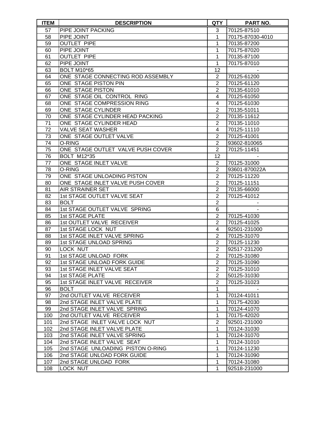| <b>ITEM</b>     | <b>DESCRIPTION</b>                | QTY            | PART NO.         |
|-----------------|-----------------------------------|----------------|------------------|
| 57              | PIPE JOINT PACKING                | 3              | 70125-87510      |
| 58              | PIPE JOINT                        | 1              | 70175-87030-4010 |
| 59              | <b>OUTLET PIPE</b>                | 1              | 70135-87200      |
| 60              | PIPE JOINT                        | 1              | 70175-87020      |
| 61              | <b>OUTLET PIPE</b>                | 1              | 70135-87100      |
| 62              | PIPE JOINT                        | $\mathbf{1}$   | 70175-87010      |
| 63              | <b>BOLT M10*65</b>                | 12             |                  |
| 64              | ONE STAGE CONNECTING ROD ASSEMBLY | $\overline{2}$ | 70125-61200      |
| 65              | ONE STAGE PISTON PIN              | $\overline{2}$ | 70125-61120      |
| 66              | ONE STAGE PISTON                  | $\overline{2}$ | 70135-61010      |
| 67              | ONE STAGE OIL CONTROL RING        | 4              | 70125-61050      |
| 68              | ONE STAGE COMPRESSION RING        | 4              | 70125-61030      |
| 69              | ONE STAGE CYLINDER                | $\overline{2}$ | 70135-51011      |
| 70              | ONE STAGE CYLINDER HEAD PACKING   | $\overline{2}$ | 70135-11612      |
| 71              | ONE STAGE CYLINDER HEAD           | $\overline{2}$ | 70135-11010      |
| 72              | <b>VALVE SEAT WASHER</b>          | $\overline{4}$ | 70125-11110      |
| 73              | ONE STAGE OUTLET VALVE            | $\overline{2}$ | 70125-41001      |
| 74              | O-RING                            | $\overline{2}$ | 93602-810065     |
| $\overline{75}$ | ONE STAGE OUTLET VALVE PUSH COVER | $\overline{2}$ | 70125-11451      |
| 76              | <b>BOLT M12*35</b>                | 12             |                  |
| 77              | ONE STAGE INLET VALVE             | $\overline{2}$ | 70125-31000      |
| 78              | O-RING                            | $\overline{2}$ | 93601-870022A    |
| 79              | ONE STAGE UNLOADING PISTON        | $\overline{2}$ | 70125-11220      |
| 80              | ONE STAGE INLET VALVE PUSH COVER  | $\overline{2}$ | 70125-11151      |
| 81              | AIR STRAINER SET                  | $\overline{2}$ | 70135-66000      |
| 82              | 1st STAGE OUTLET VALVE SEAT       | $\overline{2}$ | 70125-41012      |
| 83              | <b>BOLT</b>                       | $\overline{2}$ |                  |
| 84              | 1st STAGE OUTLET VALVE SPRING     | $\,6$          |                  |
| 85              | <b>1st STAGE PLATE</b>            | $\overline{2}$ | 70125-41030      |
| 86              | 1st OUTLET VALVE RECEIVER         | $\overline{2}$ | 70125-41025      |
| 87              | 1st STAGE LOCK NUT                | 4              | 92501-231000     |
| 88              | 1st STAGE INLET VALVE SPRING      | $\overline{2}$ | 70125-31070      |
| 89              | 1st STAGE UNLOAD SPRING           | $\overline{2}$ | 70125-11230      |
| 90              | LOCK NUT                          | $\overline{2}$ | 92517-231200     |
| 91              | 1st STAGE UNLOAD FORK             | $\overline{2}$ | 70125-31080      |
| 92              | 1st STAGE UNLOAD FORK GUIDE       | $\overline{2}$ | 70125-31090      |
| 93              | 1st STAGE INLET VALVE SEAT        | $\overline{2}$ | 70125-31010      |
| 94              | <b>1st STAGE PLATE</b>            | $\overline{2}$ | 50125-31030      |
| 95              | 1st STAGE INLET VALVE RECEIVER    | $\overline{2}$ | 70125-31023      |
| 96              | <b>BOLT</b>                       | 1              |                  |
| 97              | 2nd OUTLET VALVE RECEIVER         | 1              | 70124-41011      |
| 98              | 2nd STAGE INLET VALVE PLATE       | 1              | 70175-42030      |
| 99              | 2nd STAGE INLET VALVE SPRING      | 1              | 70124-41070      |
| 100             | 2nd OUTLET VALVE RECEIVER         | 1              | 70175-42020      |
| 101             | 2nd STAGE INLET VALVE LOCK NUT    | $\overline{2}$ | 92501-231000     |
| 102             | 2nd STAGE INLET VALVE PLATE       | 1              | 70124-31030      |
| 103             | 2nd STAGE INLET VALVE SPRING      | $\mathbf 1$    | 70124-31070      |
| 104             | 2nd STAGE INLET VALVE SEAT        | 1              | 70124-31010      |
| 105             | 2nd STAGE UNLOADING PISTON O-RING | 1              | 70124-11230      |
| 106             | 2nd STAGE UNLOAD FORK GUIDE       | 1              | 70124-31090      |
| 107             | 2nd STAGE UNLOAD FORK             | 1              | 70124-31080      |
| 108             | LOCK NUT                          | 1              | 92518-231000     |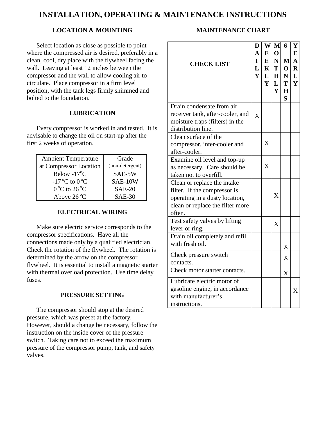### **INSTALLATION, OPERATING & MAINTENANCE INSTRUCTIONS**

#### **LOCATION & MOUNTING**

Select location as close as possible to point where the compressed air is desired, preferably in a clean, cool, dry place with the flywheel facing the wall. Leaving at least 12 inches between the compressor and the wall to allow cooling air to circulate. Place compressor in a firm level position, with the tank legs firmly shimmed and bolted to the foundation.

#### **LUBRICATION**

Every compressor is worked in and tested. It is advisable to change the oil on start-up after the first 2 weeks of operation.

| <b>Ambient Temperature</b><br>at Compressor Location | Grade<br>(non-detergent) |
|------------------------------------------------------|--------------------------|
| Below $-17^{\circ}$ C                                | SAE-5W                   |
| $-17^{\circ}$ C to $0^{\circ}$ C                     | SAE-10W                  |
| $0^{\circ}$ C to 26 $^{\circ}$ C                     | <b>SAE-20</b>            |
| Above $26^{\circ}$ C                                 | $SAE-30$                 |

#### **ELECTRICAL WIRING**

Make sure electric service corresponds to the compressor specifications. Have all the connections made only by a qualified electrician. Check the rotation of the flywheel. The rotation is determined by the arrow on the compressor flywheel. It is essential to install a magnetic starter with thermal overload protection. Use time delay fuses.

#### **PRESSURE SETTING**

The compressor should stop at the desired pressure, which was preset at the factory. However, should a change be necessary, follow the instruction on the inside cover of the pressure switch. Taking care not to exceed the maximum pressure of the compressor pump, tank, and safety valves.

#### **MAINTENANCE CHART**

| <b>CHECK LIST</b>                                                                         | D<br>$\mathbf{A}$<br>I<br>L<br>Y | W<br>$\bf{E}$<br>E<br>$\mathbf{K}$<br>L<br>Y | M<br>$\mathbf{O}$<br>$\mathbf N$<br>T<br>H<br>L<br>$\mathbf{Y}$ | 6<br>$\mathbf{M}$<br> 0 <br>N<br>T<br>$\bf H$<br>S | Y<br>E<br>$\mathbf{A}$<br>$\overline{\mathbf{R}}$<br>L<br>$\overline{\mathbf{Y}}$ |
|-------------------------------------------------------------------------------------------|----------------------------------|----------------------------------------------|-----------------------------------------------------------------|----------------------------------------------------|-----------------------------------------------------------------------------------|
| Drain condensate from air                                                                 |                                  |                                              |                                                                 |                                                    |                                                                                   |
| receiver tank, after-cooler, and<br>moisture traps (filters) in the<br>distribution line. | $\overline{X}$                   |                                              |                                                                 |                                                    |                                                                                   |
| Clean surface of the                                                                      |                                  |                                              |                                                                 |                                                    |                                                                                   |
| compressor, inter-cooler and                                                              |                                  | X                                            |                                                                 |                                                    |                                                                                   |
| after-cooler.                                                                             |                                  |                                              |                                                                 |                                                    |                                                                                   |
| Examine oil level and top-up                                                              |                                  |                                              |                                                                 |                                                    |                                                                                   |
| as necessary. Care should be                                                              |                                  | X                                            |                                                                 |                                                    |                                                                                   |
| taken not to overfill.                                                                    |                                  |                                              |                                                                 |                                                    |                                                                                   |
| Clean or replace the intake                                                               |                                  |                                              |                                                                 |                                                    |                                                                                   |
| filter. If the compressor is                                                              |                                  |                                              |                                                                 |                                                    |                                                                                   |
| operating in a dusty location,                                                            |                                  |                                              | X                                                               |                                                    |                                                                                   |
| clean or replace the filter more                                                          |                                  |                                              |                                                                 |                                                    |                                                                                   |
| often.                                                                                    |                                  |                                              |                                                                 |                                                    |                                                                                   |
| Test safety valves by lifting                                                             |                                  |                                              | X                                                               |                                                    |                                                                                   |
| lever or ring.                                                                            |                                  |                                              |                                                                 |                                                    |                                                                                   |
| Drain oil completely and refill                                                           |                                  |                                              |                                                                 |                                                    |                                                                                   |
| with fresh oil.                                                                           |                                  |                                              |                                                                 | X                                                  |                                                                                   |
| Check pressure switch                                                                     |                                  |                                              |                                                                 | X                                                  |                                                                                   |
| contacts.                                                                                 |                                  |                                              |                                                                 |                                                    |                                                                                   |
| Check motor starter contacts.                                                             |                                  |                                              |                                                                 | X                                                  |                                                                                   |
| Lubricate electric motor of                                                               |                                  |                                              |                                                                 |                                                    |                                                                                   |
| gasoline engine, in accordance                                                            |                                  |                                              |                                                                 |                                                    | X                                                                                 |
| with manufacturer's                                                                       |                                  |                                              |                                                                 |                                                    |                                                                                   |
| instructions.                                                                             |                                  |                                              |                                                                 |                                                    |                                                                                   |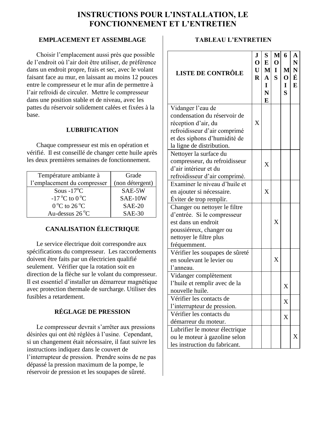#### **INSTRUCTIONS POUR L'INSTALLATION, LE FONCTIONNEMENT ET L'ENTRETIEN**

#### **EMPLACEMENT ET ASSEMBLAGE**

Choisir l'emplacement aussi près que possible de l'endroit où l'air doit être utiliser, de préférence dans un endroit propre, frais et sec, avec le volant faisant face au mur, en laissant au moins 12 pouces entre le compresseur et le mur afin de permettre à l'air refroidi de circuler. Mettre le compresseur dans une position stable et de niveau, avec les pattes du réservoir solidement calées et fixées à la base.

#### **LUBRIFICATION**

Chaque compresseur est mis en opération et vérifié. Il est conseillé de changer cette huile après les deux premières semaines de fonctionnement.

| Température ambiante à              | Grade           |
|-------------------------------------|-----------------|
| l'emplacement du compresser         | (non détergent) |
| Sous $-17^{\circ}$ C                | SAE-5W          |
| $-17^{\circ}$ C to 0 <sup>o</sup> C | SAE-10W         |
| $0^{\circ}$ C to $26^{\circ}$ C     | $SAE-20$        |
| Au-dessus $26^{\circ}$ C            | $SAE-30$        |

#### **CANALISATION ÉLECTRIQUE**

Le service électrique doit correspondre aux spécifications du compresseur. Les raccordements doivent être faits par un électricien qualifié seulement. Vérifier que la rotation soit en direction de la flèche sur le volant du compresseur. Il est essentiel d'installer un démarreur magnétique avec protection thermale de surcharge. Utiliser des fusibles a retardement.

#### **RÉGLAGE DE PRESSION**

Le compresseur devrait s'arrêter aux pressions désirées qui ont été réglées à l'usine. Cependant, si un changement était nécessaire, il faut suivre les instructions indiquez dans le couvert de l'interrupteur de pression. Prendre soins de ne pas dépassé la pression maximum de la pompe, le réservoir de pression et les soupapes de sûreté.

#### **TABLEAU L'ENTRETIEN**

| <b>LISTE DE CONTRÔLE</b>        | J<br>$\mathbf 0$<br>U<br>$\bf{R}$ | S<br>${\bf E}$<br>$\mathbf{M}$<br>$\mathbf A$<br>I<br>N<br>E | M<br>$\mathbf{O}$<br>$\mathbf I$<br>$\mathbf S$ | 6<br>M<br>$\mathbf{O}$<br>1<br>S | A<br>N<br>${\bf N}$<br>É<br>E |
|---------------------------------|-----------------------------------|--------------------------------------------------------------|-------------------------------------------------|----------------------------------|-------------------------------|
| Vidanger l'eau de               |                                   |                                                              |                                                 |                                  |                               |
| condensation du réservoir de    |                                   |                                                              |                                                 |                                  |                               |
| réception d'air, du             | X                                 |                                                              |                                                 |                                  |                               |
| refroidisseur d'air comprimé    |                                   |                                                              |                                                 |                                  |                               |
| et des siphons d'humidité de    |                                   |                                                              |                                                 |                                  |                               |
| la ligne de distribution.       |                                   |                                                              |                                                 |                                  |                               |
| Nettoyer la surface du          |                                   |                                                              |                                                 |                                  |                               |
| compresseur, du refroidisseur   |                                   | X                                                            |                                                 |                                  |                               |
| d'air intérieur et du           |                                   |                                                              |                                                 |                                  |                               |
| refroidisseur d'air comprimé.   |                                   |                                                              |                                                 |                                  |                               |
| Examiner le niveau d'huile et   |                                   |                                                              |                                                 |                                  |                               |
| en ajouter si nécessaire.       |                                   | X                                                            |                                                 |                                  |                               |
| Éviter de trop remplir.         |                                   |                                                              |                                                 |                                  |                               |
| Changer ou nettoyer le filtre   |                                   |                                                              |                                                 |                                  |                               |
| d'entrée. Si le compresseur     |                                   |                                                              |                                                 |                                  |                               |
| est dans un endroit             |                                   |                                                              | X                                               |                                  |                               |
| poussiéreux, changer ou         |                                   |                                                              |                                                 |                                  |                               |
| nettoyer le filtre plus         |                                   |                                                              |                                                 |                                  |                               |
| fréquemment.                    |                                   |                                                              |                                                 |                                  |                               |
| Vérifier les soupapes de sûreté |                                   |                                                              |                                                 |                                  |                               |
| en soulevant le levier ou       |                                   |                                                              | X                                               |                                  |                               |
| l'anneau.                       |                                   |                                                              |                                                 |                                  |                               |
| Vidanger complètement           |                                   |                                                              |                                                 |                                  |                               |
| l'huile et remplir avec de la   |                                   |                                                              |                                                 | △                                |                               |
| nouvelle huile.                 |                                   |                                                              |                                                 |                                  |                               |
| Vérifier les contacts de        |                                   |                                                              |                                                 | X                                |                               |
| l'interrupteur de pression.     |                                   |                                                              |                                                 |                                  |                               |
| Vérifier les contacts du        |                                   |                                                              |                                                 | X                                |                               |
| démarreur du moteur.            |                                   |                                                              |                                                 |                                  |                               |
| Lubrifier le moteur électrique  |                                   |                                                              |                                                 |                                  |                               |
| ou le moteur à gazoline selon   |                                   |                                                              |                                                 |                                  | X                             |
| les instruction du fabricant.   |                                   |                                                              |                                                 |                                  |                               |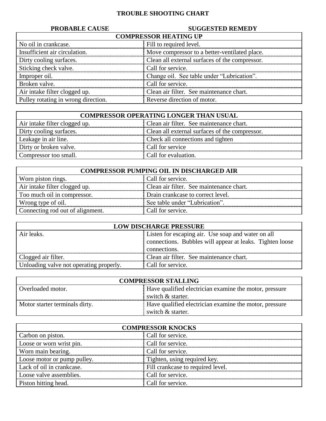#### **TROUBLE SHOOTING CHART**

#### **PROBABLE CAUSE SUGGESTED REMEDY**

| <b>COMPRESSOR HEATING UP</b>        |                                                |  |
|-------------------------------------|------------------------------------------------|--|
| No oil in crankcase.                | Fill to required level.                        |  |
| Insufficient air circulation.       | Move compressor to a better-ventilated place.  |  |
| Dirty cooling surfaces.             | Clean all external surfaces of the compressor. |  |
| Sticking check valve.               | Call for service.                              |  |
| Improper oil.                       | Change oil. See table under "Lubrication".     |  |
| Broken valve.                       | Call for service.                              |  |
| Air intake filter clogged up.       | Clean air filter. See maintenance chart.       |  |
| Pulley rotating in wrong direction. | Reverse direction of motor.                    |  |

| <b>COMPRESSOR OPERATING LONGER THAN USUAL</b> |                                                |  |  |
|-----------------------------------------------|------------------------------------------------|--|--|
| Air intake filter clogged up.                 | Clean air filter. See maintenance chart.       |  |  |
| Dirty cooling surfaces.                       | Clean all external surfaces of the compressor. |  |  |
| Leakage in air line.                          | Check all connections and tighten              |  |  |
| Dirty or broken valve.                        | Call for service                               |  |  |
| Compressor too small.                         | Call for evaluation.                           |  |  |

| <b>COMPRESSOR PUMPING OIL IN DISCHARGED AIR</b> |                                          |  |
|-------------------------------------------------|------------------------------------------|--|
| Worn piston rings.                              | Call for service.                        |  |
| Air intake filter clogged up.                   | Clean air filter. See maintenance chart. |  |
| Too much oil in compressor.                     | Drain crankcase to correct level.        |  |
| Wrong type of oil.                              | See table under "Lubrication".           |  |
| Connecting rod out of alignment.                | Call for service.                        |  |

| <b>LOW DISCHARGE PRESSURE</b>           |                                                          |  |
|-----------------------------------------|----------------------------------------------------------|--|
| Air leaks.                              | Listen for escaping air. Use soap and water on all       |  |
|                                         | connections. Bubbles will appear at leaks. Tighten loose |  |
|                                         | connections.                                             |  |
| Clogged air filter.                     | Clean air filter. See maintenance chart.                 |  |
| Unloading valve not operating properly. | Call for service.                                        |  |

| <b>COMPRESSOR STALLING</b>                                                  |                                                        |  |
|-----------------------------------------------------------------------------|--------------------------------------------------------|--|
| Have qualified electrician examine the motor, pressure<br>Overloaded motor. |                                                        |  |
|                                                                             | switch & starter.                                      |  |
| Motor starter terminals dirty.                                              | Have qualified electrician examine the motor, pressure |  |
|                                                                             | switch $&$ starter.                                    |  |

| <b>COMPRESSOR KNOCKS</b>    |                                   |  |
|-----------------------------|-----------------------------------|--|
| Carbon on piston.           | Call for service.                 |  |
| Loose or worn wrist pin.    | Call for service.                 |  |
| Worn main bearing.          | Call for service.                 |  |
| Loose motor or pump pulley. | Tighten, using required key.      |  |
| Lack of oil in crankcase.   | Fill crankcase to required level. |  |
| Loose valve assemblies.     | Call for service.                 |  |
| Piston hitting head.        | Call for service.                 |  |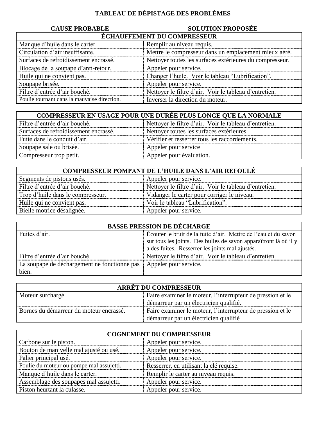### **TABLEAU DE DÉPISTAGE DES PROBLÈMES**

## **CAUSE PROBABLE SOLUTION PROPOSÉE**

| <b>ÉCHAUFFEMENT DU COMPRESSEUR</b>          |                                                          |  |
|---------------------------------------------|----------------------------------------------------------|--|
| Manque d'huile dans le carter.              | Remplir au niveau requis.                                |  |
| Circulation d'air insuffisante.             | Mettre le compresseur dans un emplacement mieux aéré.    |  |
| Surfaces de refroidissement encrassé.       | Nettoyer toutes les surfaces extérieures du compresseur. |  |
| Blocage de la soupape d'anti-retour.        | Appeler pour service.                                    |  |
| Huile qui ne convient pas.                  | Changer l'huile. Voir le tableau "Lubrification".        |  |
| Soupape brisée.                             | Appeler pour service.                                    |  |
| Filtre d'entrée d'air bouché.               | Nettoyer le filtre d'air. Voir le tableau d'entretien.   |  |
| Poulie tournant dans la mauvaise direction. | Inverser la direction du moteur.                         |  |

| <b>COMPRESSEUR EN USAGE POUR UNE DURÉE PLUS LONGE QUE LA NORMALE</b> |                                                        |  |
|----------------------------------------------------------------------|--------------------------------------------------------|--|
| Filtre d'entrée d'air bouché.                                        | Nettoyer le filtre d'air. Voir le tableau d'entretien. |  |
| Surfaces de refroidissement encrassé.                                | Nettoyer toutes les surfaces extérieures.              |  |
| Fuite dans le conduit d'air.                                         | Vérifier et resserrer tous les raccordements.          |  |
| Soupape sale ou brisée.                                              | Appeler pour service                                   |  |
| Compresseur trop petit.                                              | Appeler pour évaluation.                               |  |

| <b>COMPRESSEUR POMPANT DE L'HUILE DANS L'AIR REFOULÉ</b> |                                                        |  |
|----------------------------------------------------------|--------------------------------------------------------|--|
| Segments de pistons usés.                                | Appeler pour service.                                  |  |
| Filtre d'entrée d'air bouché.                            | Nettoyer le filtre d'air. Voir le tableau d'entretien. |  |
| Trop d'huile dans le compresseur.                        | Vidanger le carter pour corriger le niveau.            |  |
| Huile qui ne convient pas.                               | Voir le tableau "Lubrification".                       |  |
| Bielle motrice désalignée.                               | Appeler pour service.                                  |  |

| <b>BASSE PRESSION DE DÉCHARGE</b>                                    |                                                                  |  |
|----------------------------------------------------------------------|------------------------------------------------------------------|--|
| Fuites d'air.                                                        | Écouter le bruit de la fuite d'air. Mettre de l'eau et du savon  |  |
|                                                                      | sur tous les joints. Des bulles de savon apparaîtront là où il y |  |
|                                                                      | a des fuites. Resserrer les joints mal ajustés.                  |  |
| Filtre d'entrée d'air bouché.                                        | Nettoyer le filtre d'air. Voir le tableau d'entretien.           |  |
| La soupape de déchargement ne fonctionne pas   Appeler pour service. |                                                                  |  |
| bien.                                                                |                                                                  |  |

| <b>ARRÊT DU COMPRESSEUR</b>             |                                                            |
|-----------------------------------------|------------------------------------------------------------|
| Moteur surchargé.                       | Faire examiner le moteur, l'interrupteur de pression et le |
|                                         | démarreur par un électricien qualifié.                     |
| Bornes du démarreur du moteur encrassé. | Faire examiner le moteur, l'interrupteur de pression et le |
|                                         | démarreur par un électricien qualifié                      |

| <b>COGNEMENT DU COMPRESSEUR</b>          |                                         |  |
|------------------------------------------|-----------------------------------------|--|
| Carbone sur le piston.                   | Appeler pour service.                   |  |
| Bouton de manivelle mal ajusté ou usé.   | Appeler pour service.                   |  |
| Palier principal usé.                    | Appeler pour service.                   |  |
| Poulie du moteur ou pompe mal assujetti. | Resserrer, en utilisant la clé requise. |  |
| Manque d'huile dans le carter.           | Remplir le carter au niveau requis.     |  |
| Assemblage des soupapes mal assujetti.   | Appeler pour service.                   |  |
| Piston heurtant la culasse.              | Appeler pour service.                   |  |